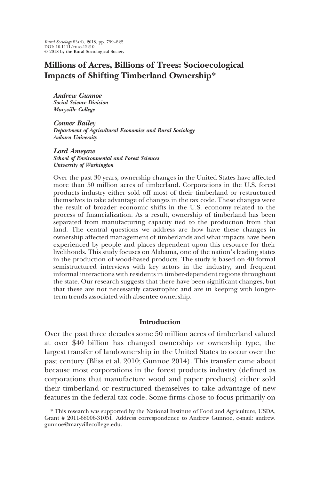Rural Sociology 83(4), 2018, pp. 799–822 DOI: 10.1111/ruso.12210 © 2018 by the Rural Sociological Society

# Millions of Acres, Billions of Trees: Socioecological Impacts of Shifting Timberland Ownership\*

Andrew Gunnoe Social Science Division Maryville College

Conner Bailey Department of Agricultural Economics and Rural Sociology Auburn University

Lord Ameyaw School of Environmental and Forest Sciences University of Washington

Over the past 30 years, ownership changes in the United States have affected more than 50 million acres of timberland. Corporations in the U.S. forest products industry either sold off most of their timberland or restructured themselves to take advantage of changes in the tax code. These changes were the result of broader economic shifts in the U.S. economy related to the process of financialization. As a result, ownership of timberland has been separated from manufacturing capacity tied to the production from that land. The central questions we address are how have these changes in ownership affected management of timberlands and what impacts have been experienced by people and places dependent upon this resource for their livelihoods. This study focuses on Alabama, one of the nation's leading states in the production of wood-based products. The study is based on 40 formal semistructured interviews with key actors in the industry, and frequent informal interactions with residents in timber-dependent regions throughout the state. Our research suggests that there have been significant changes, but that these are not necessarily catastrophic and are in keeping with longerterm trends associated with absentee ownership.

## Introduction

Over the past three decades some 50 million acres of timberland valued at over \$40 billion has changed ownership or ownership type, the largest transfer of landownership in the United States to occur over the past century (Bliss et al. 2010; Gunnoe 2014). This transfer came about because most corporations in the forest products industry (defined as corporations that manufacture wood and paper products) either sold their timberland or restructured themselves to take advantage of new features in the federal tax code. Some firms chose to focus primarily on

<sup>\*</sup> This research was supported by the National Institute of Food and Agriculture, USDA, Grant # 2011-68006-31051. Address correspondence to Andrew Gunnoe, e-mail: andrew. gunnoe@maryvillecollege.edu.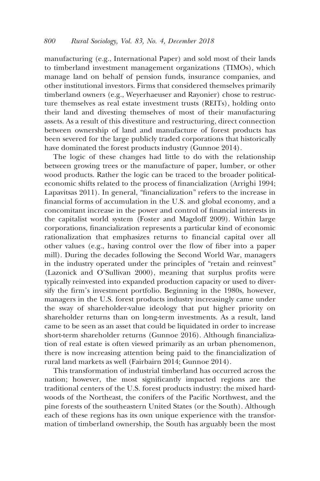manufacturing (e.g., International Paper) and sold most of their lands to timberland investment management organizations (TIMOs), which manage land on behalf of pension funds, insurance companies, and other institutional investors. Firms that considered themselves primarily timberland owners (e.g., Weyerhaeuser and Rayonier) chose to restructure themselves as real estate investment trusts (REITs), holding onto their land and divesting themselves of most of their manufacturing assets. As a result of this divestiture and restructuring, direct connection between ownership of land and manufacture of forest products has been severed for the large publicly traded corporations that historically have dominated the forest products industry (Gunnoe 2014).

The logic of these changes had little to do with the relationship between growing trees or the manufacture of paper, lumber, or other wood products. Rather the logic can be traced to the broader politicaleconomic shifts related to the process of financialization (Arrighi 1994; Lapavitsas 2011). In general, "financialization" refers to the increase in financial forms of accumulation in the U.S. and global economy, and a concomitant increase in the power and control of financial interests in the capitalist world system (Foster and Magdoff 2009). Within large corporations, financialization represents a particular kind of economic rationalization that emphasizes returns to financial capital over all other values (e.g., having control over the flow of fiber into a paper mill). During the decades following the Second World War, managers in the industry operated under the principles of "retain and reinvest" (Lazonick and O'Sullivan 2000), meaning that surplus profits were typically reinvested into expanded production capacity or used to diversify the firm's investment portfolio. Beginning in the 1980s, however, managers in the U.S. forest products industry increasingly came under the sway of shareholder-value ideology that put higher priority on shareholder returns than on long-term investments. As a result, land came to be seen as an asset that could be liquidated in order to increase short-term shareholder returns (Gunnoe 2016). Although financialization of real estate is often viewed primarily as an urban phenomenon, there is now increasing attention being paid to the financialization of rural land markets as well (Fairbairn 2014; Gunnoe 2014).

This transformation of industrial timberland has occurred across the nation; however, the most significantly impacted regions are the traditional centers of the U.S. forest products industry: the mixed hardwoods of the Northeast, the conifers of the Pacific Northwest, and the pine forests of the southeastern United States (or the South). Although each of these regions has its own unique experience with the transformation of timberland ownership, the South has arguably been the most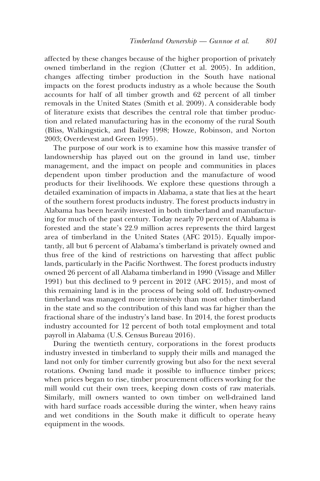affected by these changes because of the higher proportion of privately owned timberland in the region (Clutter et al. 2005). In addition, changes affecting timber production in the South have national impacts on the forest products industry as a whole because the South accounts for half of all timber growth and 62 percent of all timber removals in the United States (Smith et al. 2009). A considerable body of literature exists that describes the central role that timber production and related manufacturing has in the economy of the rural South (Bliss, Walkingstick, and Bailey 1998; Howze, Robinson, and Norton 2003; Overdevest and Green 1995).

The purpose of our work is to examine how this massive transfer of landownership has played out on the ground in land use, timber management, and the impact on people and communities in places dependent upon timber production and the manufacture of wood products for their livelihoods. We explore these questions through a detailed examination of impacts in Alabama, a state that lies at the heart of the southern forest products industry. The forest products industry in Alabama has been heavily invested in both timberland and manufacturing for much of the past century. Today nearly 70 percent of Alabama is forested and the state's 22.9 million acres represents the third largest area of timberland in the United States (AFC 2015). Equally importantly, all but 6 percent of Alabama's timberland is privately owned and thus free of the kind of restrictions on harvesting that affect public lands, particularly in the Pacific Northwest. The forest products industry owned 26 percent of all Alabama timberland in 1990 (Vissage and Miller 1991) but this declined to 9 percent in 2012 (AFC 2015), and most of this remaining land is in the process of being sold off. Industry-owned timberland was managed more intensively than most other timberland in the state and so the contribution of this land was far higher than the fractional share of the industry's land base. In 2014, the forest products industry accounted for 12 percent of both total employment and total payroll in Alabama (U.S. Census Bureau 2016).

During the twentieth century, corporations in the forest products industry invested in timberland to supply their mills and managed the land not only for timber currently growing but also for the next several rotations. Owning land made it possible to influence timber prices; when prices began to rise, timber procurement officers working for the mill would cut their own trees, keeping down costs of raw materials. Similarly, mill owners wanted to own timber on well-drained land with hard surface roads accessible during the winter, when heavy rains and wet conditions in the South make it difficult to operate heavy equipment in the woods.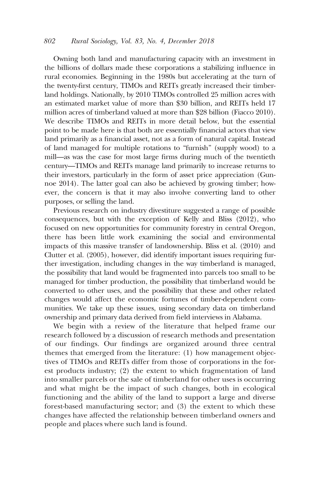Owning both land and manufacturing capacity with an investment in the billions of dollars made these corporations a stabilizing influence in rural economies. Beginning in the 1980s but accelerating at the turn of the twenty-first century, TIMOs and REITs greatly increased their timberland holdings. Nationally, by 2010 TIMOs controlled 25 million acres with an estimated market value of more than \$30 billion, and REITs held 17 million acres of timberland valued at more than \$28 billion (Fiacco 2010). We describe TIMOs and REITs in more detail below, but the essential point to be made here is that both are essentially financial actors that view land primarily as a financial asset, not as a form of natural capital. Instead of land managed for multiple rotations to "furnish" (supply wood) to a mill—as was the case for most large firms during much of the twentieth century—TIMOs and REITs manage land primarily to increase returns to their investors, particularly in the form of asset price appreciation (Gunnoe 2014). The latter goal can also be achieved by growing timber; however, the concern is that it may also involve converting land to other purposes, or selling the land.

Previous research on industry divestiture suggested a range of possible consequences, but with the exception of Kelly and Bliss (2012), who focused on new opportunities for community forestry in central Oregon, there has been little work examining the social and environmental impacts of this massive transfer of landownership. Bliss et al. (2010) and Clutter et al. (2005), however, did identify important issues requiring further investigation, including changes in the way timberland is managed, the possibility that land would be fragmented into parcels too small to be managed for timber production, the possibility that timberland would be converted to other uses, and the possibility that these and other related changes would affect the economic fortunes of timber-dependent communities. We take up these issues, using secondary data on timberland ownership and primary data derived from field interviews in Alabama.

We begin with a review of the literature that helped frame our research followed by a discussion of research methods and presentation of our findings. Our findings are organized around three central themes that emerged from the literature: (1) how management objectives of TIMOs and REITs differ from those of corporations in the forest products industry; (2) the extent to which fragmentation of land into smaller parcels or the sale of timberland for other uses is occurring and what might be the impact of such changes, both in ecological functioning and the ability of the land to support a large and diverse forest-based manufacturing sector; and (3) the extent to which these changes have affected the relationship between timberland owners and people and places where such land is found.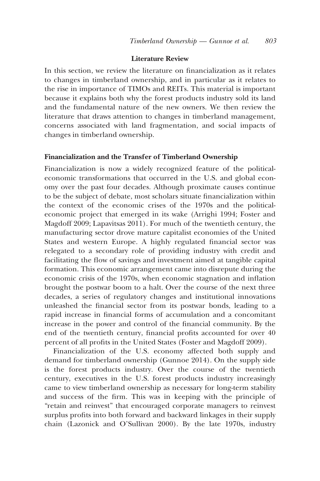# Literature Review

In this section, we review the literature on financialization as it relates to changes in timberland ownership, and in particular as it relates to the rise in importance of TIMOs and REITs. This material is important because it explains both why the forest products industry sold its land and the fundamental nature of the new owners. We then review the literature that draws attention to changes in timberland management, concerns associated with land fragmentation, and social impacts of changes in timberland ownership.

# Financialization and the Transfer of Timberland Ownership

Financialization is now a widely recognized feature of the politicaleconomic transformations that occurred in the U.S. and global economy over the past four decades. Although proximate causes continue to be the subject of debate, most scholars situate financialization within the context of the economic crises of the 1970s and the politicaleconomic project that emerged in its wake (Arrighi 1994; Foster and Magdoff 2009; Lapavitsas 2011). For much of the twentieth century, the manufacturing sector drove mature capitalist economies of the United States and western Europe. A highly regulated financial sector was relegated to a secondary role of providing industry with credit and facilitating the flow of savings and investment aimed at tangible capital formation. This economic arrangement came into disrepute during the economic crisis of the 1970s, when economic stagnation and inflation brought the postwar boom to a halt. Over the course of the next three decades, a series of regulatory changes and institutional innovations unleashed the financial sector from its postwar bonds, leading to a rapid increase in financial forms of accumulation and a concomitant increase in the power and control of the financial community. By the end of the twentieth century, financial profits accounted for over 40 percent of all profits in the United States (Foster and Magdoff 2009).

Financialization of the U.S. economy affected both supply and demand for timberland ownership (Gunnoe 2014). On the supply side is the forest products industry. Over the course of the twentieth century, executives in the U.S. forest products industry increasingly came to view timberland ownership as necessary for long-term stability and success of the firm. This was in keeping with the principle of "retain and reinvest" that encouraged corporate managers to reinvest surplus profits into both forward and backward linkages in their supply chain (Lazonick and O'Sullivan 2000). By the late 1970s, industry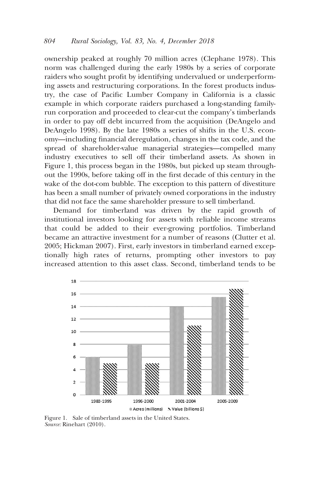ownership peaked at roughly 70 million acres (Clephane 1978). This norm was challenged during the early 1980s by a series of corporate raiders who sought profit by identifying undervalued or underperforming assets and restructuring corporations. In the forest products industry, the case of Pacific Lumber Company in California is a classic example in which corporate raiders purchased a long-standing familyrun corporation and proceeded to clear-cut the company's timberlands in order to pay off debt incurred from the acquisition (DeAngelo and DeAngelo 1998). By the late 1980s a series of shifts in the U.S. economy—including financial deregulation, changes in the tax code, and the spread of shareholder-value managerial strategies—compelled many industry executives to sell off their timberland assets. As shown in Figure 1, this process began in the 1980s, but picked up steam throughout the 1990s, before taking off in the first decade of this century in the wake of the dot-com bubble. The exception to this pattern of divestiture has been a small number of privately owned corporations in the industry that did not face the same shareholder pressure to sell timberland.

Demand for timberland was driven by the rapid growth of institutional investors looking for assets with reliable income streams that could be added to their ever-growing portfolios. Timberland became an attractive investment for a number of reasons (Clutter et al. 2005; Hickman 2007). First, early investors in timberland earned exceptionally high rates of returns, prompting other investors to pay increased attention to this asset class. Second, timberland tends to be



Figure 1. Sale of timberland assets in the United States. Source: Rinehart (2010).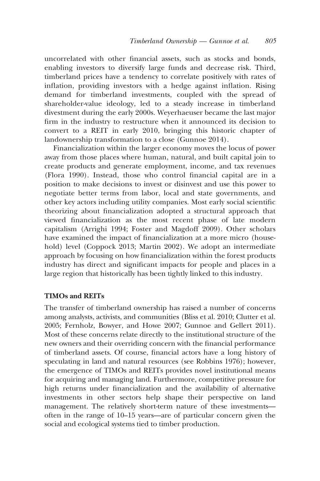uncorrelated with other financial assets, such as stocks and bonds, enabling investors to diversify large funds and decrease risk. Third, timberland prices have a tendency to correlate positively with rates of inflation, providing investors with a hedge against inflation. Rising demand for timberland investments, coupled with the spread of shareholder-value ideology, led to a steady increase in timberland divestment during the early 2000s. Weyerhaeuser became the last major firm in the industry to restructure when it announced its decision to convert to a REIT in early 2010, bringing this historic chapter of landownership transformation to a close (Gunnoe 2014).

Financialization within the larger economy moves the locus of power away from those places where human, natural, and built capital join to create products and generate employment, income, and tax revenues (Flora 1990). Instead, those who control financial capital are in a position to make decisions to invest or disinvest and use this power to negotiate better terms from labor, local and state governments, and other key actors including utility companies. Most early social scientific theorizing about financialization adopted a structural approach that viewed financialization as the most recent phase of late modern capitalism (Arrighi 1994; Foster and Magdoff 2009). Other scholars have examined the impact of financialization at a more micro (household) level (Coppock 2013; Martin 2002). We adopt an intermediate approach by focusing on how financialization within the forest products industry has direct and significant impacts for people and places in a large region that historically has been tightly linked to this industry.

# TIMOs and REITs

The transfer of timberland ownership has raised a number of concerns among analysts, activists, and communities (Bliss et al. 2010; Clutter et al. 2005; Fernholz, Bowyer, and Howe 2007; Gunnoe and Gellert 2011). Most of these concerns relate directly to the institutional structure of the new owners and their overriding concern with the financial performance of timberland assets. Of course, financial actors have a long history of speculating in land and natural resources (see Robbins 1976); however, the emergence of TIMOs and REITs provides novel institutional means for acquiring and managing land. Furthermore, competitive pressure for high returns under financialization and the availability of alternative investments in other sectors help shape their perspective on land management. The relatively short-term nature of these investments often in the range of 10–15 years—are of particular concern given the social and ecological systems tied to timber production.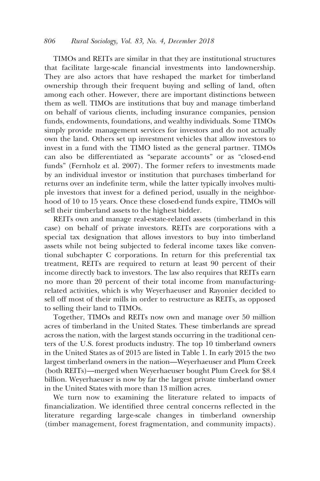TIMOs and REITs are similar in that they are institutional structures that facilitate large-scale financial investments into landownership. They are also actors that have reshaped the market for timberland ownership through their frequent buying and selling of land, often among each other. However, there are important distinctions between them as well. TIMOs are institutions that buy and manage timberland on behalf of various clients, including insurance companies, pension funds, endowments, foundations, and wealthy individuals. Some TIMOs simply provide management services for investors and do not actually own the land. Others set up investment vehicles that allow investors to invest in a fund with the TIMO listed as the general partner. TIMOs can also be differentiated as "separate accounts" or as "closed-end funds" (Fernholz et al. 2007). The former refers to investments made by an individual investor or institution that purchases timberland for returns over an indefinite term, while the latter typically involves multiple investors that invest for a defined period, usually in the neighborhood of 10 to 15 years. Once these closed-end funds expire, TIMOs will sell their timberland assets to the highest bidder.

REITs own and manage real-estate-related assets (timberland in this case) on behalf of private investors. REITs are corporations with a special tax designation that allows investors to buy into timberland assets while not being subjected to federal income taxes like conventional subchapter C corporations. In return for this preferential tax treatment, REITs are required to return at least 90 percent of their income directly back to investors. The law also requires that REITs earn no more than 20 percent of their total income from manufacturingrelated activities, which is why Weyerhaeuser and Rayonier decided to sell off most of their mills in order to restructure as REITs, as opposed to selling their land to TIMOs.

Together, TIMOs and REITs now own and manage over 50 million acres of timberland in the United States. These timberlands are spread across the nation, with the largest stands occurring in the traditional centers of the U.S. forest products industry. The top 10 timberland owners in the United States as of 2015 are listed in Table 1. In early 2015 the two largest timberland owners in the nation—Weyerhaeuser and Plum Creek (both REITs)—merged when Weyerhaeuser bought Plum Creek for \$8.4 billion. Weyerhaeuser is now by far the largest private timberland owner in the United States with more than 13 million acres.

We turn now to examining the literature related to impacts of financialization. We identified three central concerns reflected in the literature regarding large-scale changes in timberland ownership (timber management, forest fragmentation, and community impacts).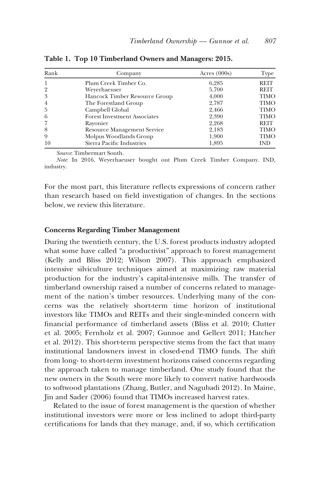| Rank           | Company                             | Acres $(000s)$ | Type        |
|----------------|-------------------------------------|----------------|-------------|
| 1              | Plum Creek Timber Co.               | 6,285          | <b>REIT</b> |
| $\overline{2}$ | Weyerhaeuser                        | 5,700          | <b>REIT</b> |
| 3              | Hancock Timber Resource Group       | 4,000          | <b>TIMO</b> |
| $\overline{4}$ | The Forestland Group                | 2,787          | TIMO        |
| $\overline{5}$ | Campbell Global                     | 2,466          | <b>TIMO</b> |
| 6              | <b>Forest Investment Associates</b> | 2,390          | <b>TIMO</b> |
| 7              | Rayonier                            | 2,268          | <b>REIT</b> |
| 8              | Resource Management Service         | 2,183          | TIMO        |
| 9              | Molpus Woodlands Group              | 1,900          | TIMO        |
| 10             | Sierra Pacific Industries           | 1,895          | <b>IND</b>  |

Table 1. Top 10 Timberland Owners and Managers: 2015.

Source: Timbermart South.

Note: In 2016, Weyerhaeuser bought out Plum Creek Timber Company. IND, industry.

For the most part, this literature reflects expressions of concern rather than research based on field investigation of changes. In the sections below, we review this literature.

# Concerns Regarding Timber Management

During the twentieth century, the U.S. forest products industry adopted what some have called "a productivist" approach to forest management (Kelly and Bliss 2012; Wilson 2007). This approach emphasized intensive silviculture techniques aimed at maximizing raw material production for the industry's capital-intensive mills. The transfer of timberland ownership raised a number of concerns related to management of the nation's timber resources. Underlying many of the concerns was the relatively short-term time horizon of institutional investors like TIMOs and REITs and their single-minded concern with financial performance of timberland assets (Bliss et al. 2010; Clutter et al. 2005; Fernholz et al. 2007; Gunnoe and Gellert 2011; Hatcher et al. 2012). This short-term perspective stems from the fact that many institutional landowners invest in closed-end TIMO funds. The shift from long- to short-term investment horizons raised concerns regarding the approach taken to manage timberland. One study found that the new owners in the South were more likely to convert native hardwoods to softwood plantations (Zhang, Butler, and Nagubadi 2012). In Maine, Jin and Sader (2006) found that TIMOs increased harvest rates.

Related to the issue of forest management is the question of whether institutional investors were more or less inclined to adopt third-party certifications for lands that they manage, and, if so, which certification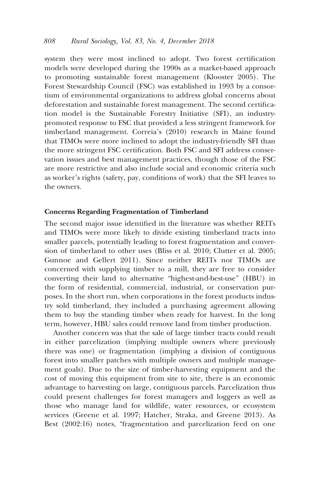system they were most inclined to adopt. Two forest certification models were developed during the 1990s as a market-based approach to promoting sustainable forest management (Klooster 2005). The Forest Stewardship Council (FSC) was established in 1993 by a consortium of environmental organizations to address global concerns about deforestation and sustainable forest management. The second certification model is the Sustainable Forestry Initiative (SFI), an industrypromoted response to FSC that provided a less stringent framework for timberland management. Correia's (2010) research in Maine found that TIMOs were more inclined to adopt the industry-friendly SFI than the more stringent FSC certification. Both FSC and SFI address conservation issues and best management practices, though those of the FSC are more restrictive and also include social and economic criteria such as worker's rights (safety, pay, conditions of work) that the SFI leaves to the owners.

## Concerns Regarding Fragmentation of Timberland

The second major issue identified in the literature was whether REITs and TIMOs were more likely to divide existing timberland tracts into smaller parcels, potentially leading to forest fragmentation and conversion of timberland to other uses (Bliss et al. 2010; Clutter et al. 2005; Gunnoe and Gellert 2011). Since neither REITs nor TIMOs are concerned with supplying timber to a mill, they are free to consider converting their land to alternative "highest-and-best-use" (HBU) in the form of residential, commercial, industrial, or conservation purposes. In the short run, when corporations in the forest products industry sold timberland, they included a purchasing agreement allowing them to buy the standing timber when ready for harvest. In the long term, however, HBU sales could remove land from timber production.

Another concern was that the sale of large timber tracts could result in either parcelization (implying multiple owners where previously there was one) or fragmentation (implying a division of contiguous forest into smaller patches with multiple owners and multiple management goals). Due to the size of timber-harvesting equipment and the cost of moving this equipment from site to site, there is an economic advantage to harvesting on large, contiguous parcels. Parcelization thus could present challenges for forest managers and loggers as well as those who manage land for wildlife, water resources, or ecosystem services (Greene et al. 1997; Hatcher, Straka, and Greene 2013). As Best (2002:16) notes, "fragmentation and parcelization feed on one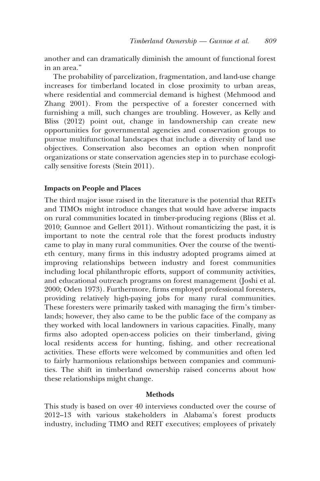another and can dramatically diminish the amount of functional forest in an area."

The probability of parcelization, fragmentation, and land-use change increases for timberland located in close proximity to urban areas, where residential and commercial demand is highest (Mehmood and Zhang 2001). From the perspective of a forester concerned with furnishing a mill, such changes are troubling. However, as Kelly and Bliss (2012) point out, change in landownership can create new opportunities for governmental agencies and conservation groups to pursue multifunctional landscapes that include a diversity of land use objectives. Conservation also becomes an option when nonprofit organizations or state conservation agencies step in to purchase ecologically sensitive forests (Stein 2011).

## Impacts on People and Places

The third major issue raised in the literature is the potential that REITs and TIMOs might introduce changes that would have adverse impacts on rural communities located in timber-producing regions (Bliss et al. 2010; Gunnoe and Gellert 2011). Without romanticizing the past, it is important to note the central role that the forest products industry came to play in many rural communities. Over the course of the twentieth century, many firms in this industry adopted programs aimed at improving relationships between industry and forest communities including local philanthropic efforts, support of community activities, and educational outreach programs on forest management (Joshi et al. 2000; Oden 1973). Furthermore, firms employed professional foresters, providing relatively high-paying jobs for many rural communities. These foresters were primarily tasked with managing the firm's timberlands; however, they also came to be the public face of the company as they worked with local landowners in various capacities. Finally, many firms also adopted open-access policies on their timberland, giving local residents access for hunting, fishing, and other recreational activities. These efforts were welcomed by communities and often led to fairly harmonious relationships between companies and communities. The shift in timberland ownership raised concerns about how these relationships might change.

#### Methods

This study is based on over 40 interviews conducted over the course of 2012–13 with various stakeholders in Alabama's forest products industry, including TIMO and REIT executives; employees of privately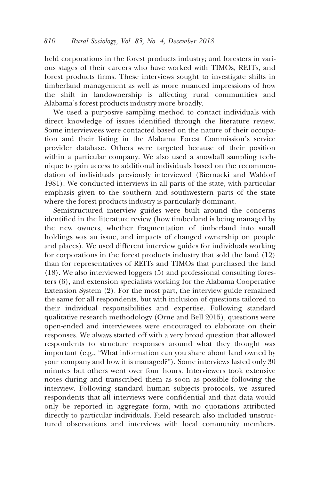held corporations in the forest products industry; and foresters in various stages of their careers who have worked with TIMOs, REITs, and forest products firms. These interviews sought to investigate shifts in timberland management as well as more nuanced impressions of how the shift in landownership is affecting rural communities and Alabama's forest products industry more broadly.

We used a purposive sampling method to contact individuals with direct knowledge of issues identified through the literature review. Some interviewees were contacted based on the nature of their occupation and their listing in the Alabama Forest Commission's service provider database. Others were targeted because of their position within a particular company. We also used a snowball sampling technique to gain access to additional individuals based on the recommendation of individuals previously interviewed (Biernacki and Waldorf 1981). We conducted interviews in all parts of the state, with particular emphasis given to the southern and southwestern parts of the state where the forest products industry is particularly dominant.

Semistructured interview guides were built around the concerns identified in the literature review (how timberland is being managed by the new owners, whether fragmentation of timberland into small holdings was an issue, and impacts of changed ownership on people and places). We used different interview guides for individuals working for corporations in the forest products industry that sold the land (12) than for representatives of REITs and TIMOs that purchased the land (18). We also interviewed loggers (5) and professional consulting foresters (6), and extension specialists working for the Alabama Cooperative Extension System (2). For the most part, the interview guide remained the same for all respondents, but with inclusion of questions tailored to their individual responsibilities and expertise. Following standard qualitative research methodology (Orne and Bell 2015), questions were open-ended and interviewees were encouraged to elaborate on their responses. We always started off with a very broad question that allowed respondents to structure responses around what they thought was important (e.g., "What information can you share about land owned by your company and how it is managed?"). Some interviews lasted only 30 minutes but others went over four hours. Interviewers took extensive notes during and transcribed them as soon as possible following the interview. Following standard human subjects protocols, we assured respondents that all interviews were confidential and that data would only be reported in aggregate form, with no quotations attributed directly to particular individuals. Field research also included unstructured observations and interviews with local community members.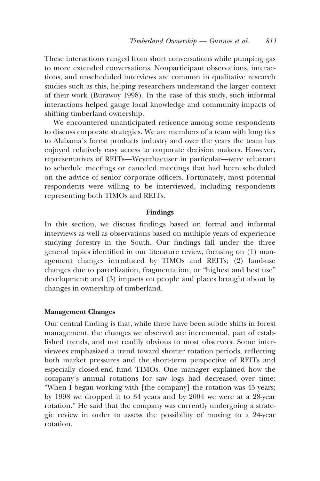These interactions ranged from short conversations while pumping gas to more extended conversations. Nonparticipant observations, interactions, and unscheduled interviews are common in qualitative research studies such as this, helping researchers understand the larger context of their work (Burawoy 1998). In the case of this study, such informal interactions helped gauge local knowledge and community impacts of shifting timberland ownership.

We encountered unanticipated reticence among some respondents to discuss corporate strategies. We are members of a team with long ties to Alabama's forest products industry and over the years the team has enjoyed relatively easy access to corporate decision makers. However, representatives of REITs—Weyerhaeuser in particular—were reluctant to schedule meetings or canceled meetings that had been scheduled on the advice of senior corporate officers. Fortunately, most potential respondents were willing to be interviewed, including respondents representing both TIMOs and REITs.

#### Findings

In this section, we discuss findings based on formal and informal interviews as well as observations based on multiple years of experience studying forestry in the South. Our findings fall under the three general topics identified in our literature review, focusing on (1) management changes introduced by TIMOs and REITs; (2) land-use changes due to parcelization, fragmentation, or "highest and best use" development; and (3) impacts on people and places brought about by changes in ownership of timberland.

## Management Changes

Our central finding is that, while there have been subtle shifts in forest management, the changes we observed are incremental, part of established trends, and not readily obvious to most observers. Some interviewees emphasized a trend toward shorter rotation periods, reflecting both market pressures and the short-term perspective of REITs and especially closed-end fund TIMOs. One manager explained how the company's annual rotations for saw logs had decreased over time: "When I began working with [the company] the rotation was 45 years; by 1998 we dropped it to 34 years and by 2004 we were at a 28-year rotation." He said that the company was currently undergoing a strategic review in order to assess the possibility of moving to a 24-year rotation.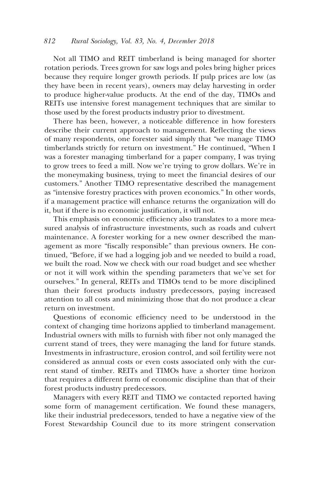Not all TIMO and REIT timberland is being managed for shorter rotation periods. Trees grown for saw logs and poles bring higher prices because they require longer growth periods. If pulp prices are low (as they have been in recent years), owners may delay harvesting in order to produce higher-value products. At the end of the day, TIMOs and REITs use intensive forest management techniques that are similar to those used by the forest products industry prior to divestment.

There has been, however, a noticeable difference in how foresters describe their current approach to management. Reflecting the views of many respondents, one forester said simply that "we manage TIMO timberlands strictly for return on investment." He continued, "When I was a forester managing timberland for a paper company, I was trying to grow trees to feed a mill. Now we're trying to grow dollars. We're in the moneymaking business, trying to meet the financial desires of our customers." Another TIMO representative described the management as "intensive forestry practices with proven economics." In other words, if a management practice will enhance returns the organization will do it, but if there is no economic justification, it will not.

This emphasis on economic efficiency also translates to a more measured analysis of infrastructure investments, such as roads and culvert maintenance. A forester working for a new owner described the management as more "fiscally responsible" than previous owners. He continued, "Before, if we had a logging job and we needed to build a road, we built the road. Now we check with our road budget and see whether or not it will work within the spending parameters that we've set for ourselves." In general, REITs and TIMOs tend to be more disciplined than their forest products industry predecessors, paying increased attention to all costs and minimizing those that do not produce a clear return on investment.

Questions of economic efficiency need to be understood in the context of changing time horizons applied to timberland management. Industrial owners with mills to furnish with fiber not only managed the current stand of trees, they were managing the land for future stands. Investments in infrastructure, erosion control, and soil fertility were not considered as annual costs or even costs associated only with the current stand of timber. REITs and TIMOs have a shorter time horizon that requires a different form of economic discipline than that of their forest products industry predecessors.

Managers with every REIT and TIMO we contacted reported having some form of management certification. We found these managers, like their industrial predecessors, tended to have a negative view of the Forest Stewardship Council due to its more stringent conservation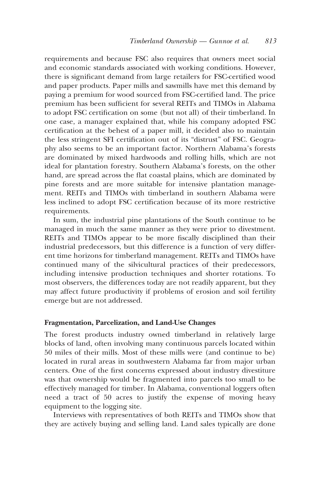requirements and because FSC also requires that owners meet social and economic standards associated with working conditions. However, there is significant demand from large retailers for FSC-certified wood and paper products. Paper mills and sawmills have met this demand by paying a premium for wood sourced from FSC-certified land. The price premium has been sufficient for several REITs and TIMOs in Alabama to adopt FSC certification on some (but not all) of their timberland. In one case, a manager explained that, while his company adopted FSC certification at the behest of a paper mill, it decided also to maintain the less stringent SFI certification out of its "distrust" of FSC. Geography also seems to be an important factor. Northern Alabama's forests are dominated by mixed hardwoods and rolling hills, which are not ideal for plantation forestry. Southern Alabama's forests, on the other hand, are spread across the flat coastal plains, which are dominated by pine forests and are more suitable for intensive plantation management. REITs and TIMOs with timberland in southern Alabama were less inclined to adopt FSC certification because of its more restrictive requirements.

In sum, the industrial pine plantations of the South continue to be managed in much the same manner as they were prior to divestment. REITs and TIMOs appear to be more fiscally disciplined than their industrial predecessors, but this difference is a function of very different time horizons for timberland management. REITs and TIMOs have continued many of the silvicultural practices of their predecessors, including intensive production techniques and shorter rotations. To most observers, the differences today are not readily apparent, but they may affect future productivity if problems of erosion and soil fertility emerge but are not addressed.

# Fragmentation, Parcelization, and Land-Use Changes

The forest products industry owned timberland in relatively large blocks of land, often involving many continuous parcels located within 50 miles of their mills. Most of these mills were (and continue to be) located in rural areas in southwestern Alabama far from major urban centers. One of the first concerns expressed about industry divestiture was that ownership would be fragmented into parcels too small to be effectively managed for timber. In Alabama, conventional loggers often need a tract of 50 acres to justify the expense of moving heavy equipment to the logging site.

Interviews with representatives of both REITs and TIMOs show that they are actively buying and selling land. Land sales typically are done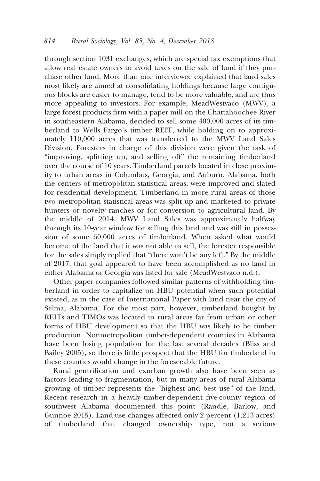through section 1031 exchanges, which are special tax exemptions that allow real estate owners to avoid taxes on the sale of land if they purchase other land. More than one interviewee explained that land sales most likely are aimed at consolidating holdings because large contiguous blocks are easier to manage, tend to be more valuable, and are thus more appealing to investors. For example, MeadWestvaco (MWV), a large forest products firm with a paper mill on the Chattahoochee River in southeastern Alabama, decided to sell some 400,000 acres of its timberland to Wells Fargo's timber REIT, while holding on to approximately 110,000 acres that was transferred to the MWV Land Sales Division. Foresters in charge of this division were given the task of "improving, splitting up, and selling off" the remaining timberland over the course of 10 years. Timberland parcels located in close proximity to urban areas in Columbus, Georgia, and Auburn, Alabama, both the centers of metropolitan statistical areas, were improved and slated for residential development. Timberland in more rural areas of those two metropolitan statistical areas was split up and marketed to private hunters or novelty ranches or for conversion to agricultural land. By the middle of 2014, MWV Land Sales was approximately halfway through its 10-year window for selling this land and was still in possession of some 60,000 acres of timberland. When asked what would become of the land that it was not able to sell, the forester responsible for the sales simply replied that "there won't be any left." By the middle of 2017, that goal appeared to have been accomplished as no land in either Alabama or Georgia was listed for sale (MeadWestvaco n.d.).

Other paper companies followed similar patterns of withholding timberland in order to capitalize on HBU potential when such potential existed, as in the case of International Paper with land near the city of Selma, Alabama. For the most part, however, timberland bought by REITs and TIMOs was located in rural areas far from urban or other forms of HBU development so that the HBU was likely to be timber production. Nonmetropolitan timber-dependent counties in Alabama have been losing population for the last several decades (Bliss and Bailey 2005), so there is little prospect that the HBU for timberland in these counties would change in the foreseeable future.

Rural gentrification and exurban growth also have been seen as factors leading to fragmentation, but in many areas of rural Alabama growing of timber represents the "highest and best use" of the land. Recent research in a heavily timber-dependent five-county region of southwest Alabama documented this point (Randle, Barlow, and Gunnoe 2015). Land-use changes affected only 2 percent (1,213 acres) of timberland that changed ownership type, not a serious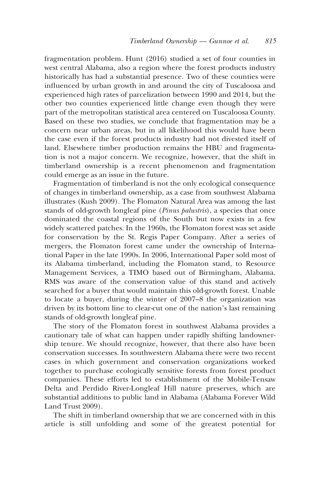fragmentation problem. Hunt (2016) studied a set of four counties in west central Alabama, also a region where the forest products industry historically has had a substantial presence. Two of these counties were influenced by urban growth in and around the city of Tuscaloosa and experienced high rates of parcelization between 1990 and 2014, but the other two counties experienced little change even though they were part of the metropolitan statistical area centered on Tuscaloosa County. Based on these two studies, we conclude that fragmentation may be a concern near urban areas, but in all likelihood this would have been the case even if the forest products industry had not divested itself of land. Elsewhere timber production remains the HBU and fragmentation is not a major concern. We recognize, however, that the shift in timberland ownership is a recent phenomenon and fragmentation could emerge as an issue in the future.

Fragmentation of timberland is not the only ecological consequence of changes in timberland ownership, as a case from southwest Alabama illustrates (Kush 2009). The Flomaton Natural Area was among the last stands of old-growth longleaf pine (Pinus palustris), a species that once dominated the coastal regions of the South but now exists in a few widely scattered patches. In the 1960s, the Flomaton forest was set aside for conservation by the St. Regis Paper Company. After a series of mergers, the Flomaton forest came under the ownership of International Paper in the late 1990s. In 2006, International Paper sold most of its Alabama timberland, including the Flomaton stand, to Resource Management Services, a TIMO based out of Birmingham, Alabama. RMS was aware of the conservation value of this stand and actively searched for a buyer that would maintain this old-growth forest. Unable to locate a buyer, during the winter of 2007–8 the organization was driven by its bottom line to clear-cut one of the nation's last remaining stands of old-growth longleaf pine.

The story of the Flomaton forest in southwest Alabama provides a cautionary tale of what can happen under rapidly shifting landownership tenure. We should recognize, however, that there also have been conservation successes. In southwestern Alabama there were two recent cases in which government and conservation organizations worked together to purchase ecologically sensitive forests from forest product companies. These efforts led to establishment of the Mobile-Tensaw Delta and Perdido River-Longleaf Hill nature preserves, which are substantial additions to public land in Alabama (Alabama Forever Wild Land Trust 2009).

The shift in timberland ownership that we are concerned with in this article is still unfolding and some of the greatest potential for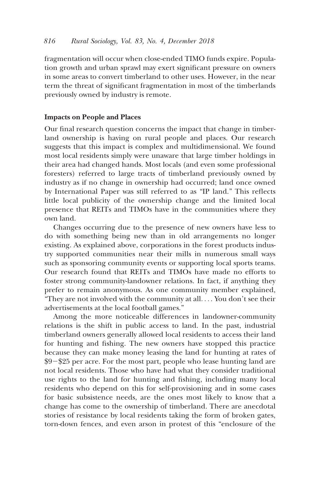fragmentation will occur when close-ended TIMO funds expire. Population growth and urban sprawl may exert significant pressure on owners in some areas to convert timberland to other uses. However, in the near term the threat of significant fragmentation in most of the timberlands previously owned by industry is remote.

## Impacts on People and Places

Our final research question concerns the impact that change in timberland ownership is having on rural people and places. Our research suggests that this impact is complex and multidimensional. We found most local residents simply were unaware that large timber holdings in their area had changed hands. Most locals (and even some professional foresters) referred to large tracts of timberland previously owned by industry as if no change in ownership had occurred; land once owned by International Paper was still referred to as "IP land." This reflects little local publicity of the ownership change and the limited local presence that REITs and TIMOs have in the communities where they own land.

Changes occurring due to the presence of new owners have less to do with something being new than in old arrangements no longer existing. As explained above, corporations in the forest products industry supported communities near their mills in numerous small ways such as sponsoring community events or supporting local sports teams. Our research found that REITs and TIMOs have made no efforts to foster strong community-landowner relations. In fact, if anything they prefer to remain anonymous. As one community member explained, "They are not involved with the community at all... . You don't see their advertisements at the local football games."

Among the more noticeable differences in landowner-community relations is the shift in public access to land. In the past, industrial timberland owners generally allowed local residents to access their land for hunting and fishing. The new owners have stopped this practice because they can make money leasing the land for hunting at rates of \$9-\$25 per acre. For the most part, people who lease hunting land are not local residents. Those who have had what they consider traditional use rights to the land for hunting and fishing, including many local residents who depend on this for self-provisioning and in some cases for basic subsistence needs, are the ones most likely to know that a change has come to the ownership of timberland. There are anecdotal stories of resistance by local residents taking the form of broken gates, torn-down fences, and even arson in protest of this "enclosure of the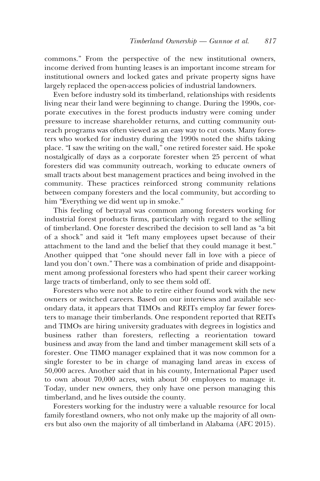commons." From the perspective of the new institutional owners, income derived from hunting leases is an important income stream for institutional owners and locked gates and private property signs have largely replaced the open-access policies of industrial landowners.

Even before industry sold its timberland, relationships with residents living near their land were beginning to change. During the 1990s, corporate executives in the forest products industry were coming under pressure to increase shareholder returns, and cutting community outreach programs was often viewed as an easy way to cut costs. Many foresters who worked for industry during the 1990s noted the shifts taking place. "I saw the writing on the wall," one retired forester said. He spoke nostalgically of days as a corporate forester when 25 percent of what foresters did was community outreach, working to educate owners of small tracts about best management practices and being involved in the community. These practices reinforced strong community relations between company foresters and the local community, but according to him "Everything we did went up in smoke."

This feeling of betrayal was common among foresters working for industrial forest products firms, particularly with regard to the selling of timberland. One forester described the decision to sell land as "a bit of a shock" and said it "left many employees upset because of their attachment to the land and the belief that they could manage it best." Another quipped that "one should never fall in love with a piece of land you don't own." There was a combination of pride and disappointment among professional foresters who had spent their career working large tracts of timberland, only to see them sold off.

Foresters who were not able to retire either found work with the new owners or switched careers. Based on our interviews and available secondary data, it appears that TIMOs and REITs employ far fewer foresters to manage their timberlands. One respondent reported that REITs and TIMOs are hiring university graduates with degrees in logistics and business rather than foresters, reflecting a reorientation toward business and away from the land and timber management skill sets of a forester. One TIMO manager explained that it was now common for a single forester to be in charge of managing land areas in excess of 50,000 acres. Another said that in his county, International Paper used to own about 70,000 acres, with about 50 employees to manage it. Today, under new owners, they only have one person managing this timberland, and he lives outside the county.

Foresters working for the industry were a valuable resource for local family forestland owners, who not only make up the majority of all owners but also own the majority of all timberland in Alabama (AFC 2015).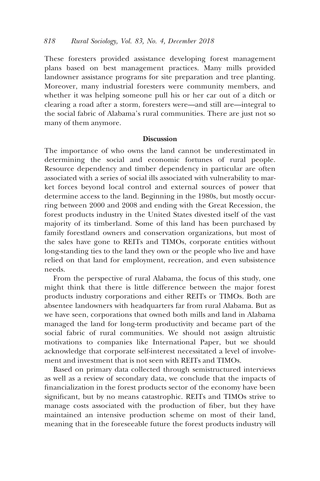These foresters provided assistance developing forest management plans based on best management practices. Many mills provided landowner assistance programs for site preparation and tree planting. Moreover, many industrial foresters were community members, and whether it was helping someone pull his or her car out of a ditch or clearing a road after a storm, foresters were—and still are—integral to the social fabric of Alabama's rural communities. There are just not so many of them anymore.

# Discussion

The importance of who owns the land cannot be underestimated in determining the social and economic fortunes of rural people. Resource dependency and timber dependency in particular are often associated with a series of social ills associated with vulnerability to market forces beyond local control and external sources of power that determine access to the land. Beginning in the 1980s, but mostly occurring between 2000 and 2008 and ending with the Great Recession, the forest products industry in the United States divested itself of the vast majority of its timberland. Some of this land has been purchased by family forestland owners and conservation organizations, but most of the sales have gone to REITs and TIMOs, corporate entities without long-standing ties to the land they own or the people who live and have relied on that land for employment, recreation, and even subsistence needs.

From the perspective of rural Alabama, the focus of this study, one might think that there is little difference between the major forest products industry corporations and either REITs or TIMOs. Both are absentee landowners with headquarters far from rural Alabama. But as we have seen, corporations that owned both mills and land in Alabama managed the land for long-term productivity and became part of the social fabric of rural communities. We should not assign altruistic motivations to companies like International Paper, but we should acknowledge that corporate self-interest necessitated a level of involvement and investment that is not seen with REITs and TIMOs.

Based on primary data collected through semistructured interviews as well as a review of secondary data, we conclude that the impacts of financialization in the forest products sector of the economy have been significant, but by no means catastrophic. REITs and TIMOs strive to manage costs associated with the production of fiber, but they have maintained an intensive production scheme on most of their land, meaning that in the foreseeable future the forest products industry will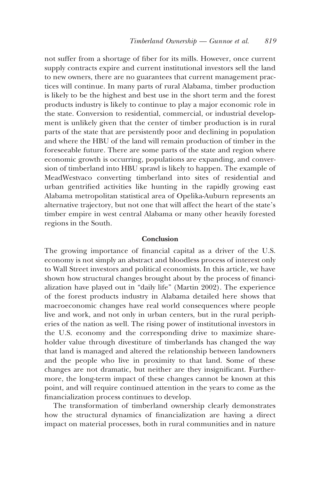not suffer from a shortage of fiber for its mills. However, once current supply contracts expire and current institutional investors sell the land to new owners, there are no guarantees that current management practices will continue. In many parts of rural Alabama, timber production is likely to be the highest and best use in the short term and the forest products industry is likely to continue to play a major economic role in the state. Conversion to residential, commercial, or industrial development is unlikely given that the center of timber production is in rural parts of the state that are persistently poor and declining in population and where the HBU of the land will remain production of timber in the foreseeable future. There are some parts of the state and region where economic growth is occurring, populations are expanding, and conversion of timberland into HBU sprawl is likely to happen. The example of MeadWestvaco converting timberland into sites of residential and urban gentrified activities like hunting in the rapidly growing east Alabama metropolitan statistical area of Opelika-Auburn represents an alternative trajectory, but not one that will affect the heart of the state's timber empire in west central Alabama or many other heavily forested regions in the South.

#### Conclusion

The growing importance of financial capital as a driver of the U.S. economy is not simply an abstract and bloodless process of interest only to Wall Street investors and political economists. In this article, we have shown how structural changes brought about by the process of financialization have played out in "daily life" (Martin 2002). The experience of the forest products industry in Alabama detailed here shows that macroeconomic changes have real world consequences where people live and work, and not only in urban centers, but in the rural peripheries of the nation as well. The rising power of institutional investors in the U.S. economy and the corresponding drive to maximize shareholder value through divestiture of timberlands has changed the way that land is managed and altered the relationship between landowners and the people who live in proximity to that land. Some of these changes are not dramatic, but neither are they insignificant. Furthermore, the long-term impact of these changes cannot be known at this point, and will require continued attention in the years to come as the financialization process continues to develop.

The transformation of timberland ownership clearly demonstrates how the structural dynamics of financialization are having a direct impact on material processes, both in rural communities and in nature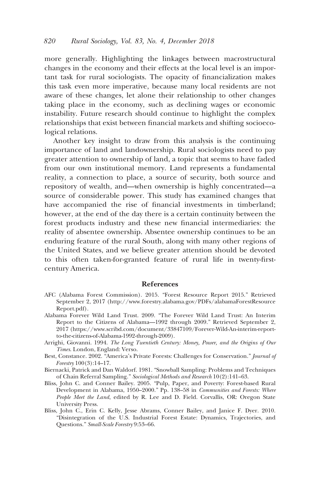more generally. Highlighting the linkages between macrostructural changes in the economy and their effects at the local level is an important task for rural sociologists. The opacity of financialization makes this task even more imperative, because many local residents are not aware of these changes, let alone their relationship to other changes taking place in the economy, such as declining wages or economic instability. Future research should continue to highlight the complex relationships that exist between financial markets and shifting socioecological relations.

Another key insight to draw from this analysis is the continuing importance of land and landownership. Rural sociologists need to pay greater attention to ownership of land, a topic that seems to have faded from our own institutional memory. Land represents a fundamental reality, a connection to place, a source of security, both source and repository of wealth, and—when ownership is highly concentrated—a source of considerable power. This study has examined changes that have accompanied the rise of financial investments in timberland; however, at the end of the day there is a certain continuity between the forest products industry and these new financial intermediaries: the reality of absentee ownership. Absentee ownership continues to be an enduring feature of the rural South, along with many other regions of the United States, and we believe greater attention should be devoted to this often taken-for-granted feature of rural life in twenty-firstcentury America.

## References

- AFC (Alabama Forest Commission). 2015. "Forest Resource Report 2015." Retrieved September 2, 2017 [\(http://www.forestry.alabama.gov/PDFs/alabamaForestResource](http://www.forestry.alabama.gov/PDFs/alabamaForestResourceReport.pdf) [Report.pdf](http://www.forestry.alabama.gov/PDFs/alabamaForestResourceReport.pdf)).
- Alabama Forever Wild Land Trust. 2009. "The Forever Wild Land Trust: An Interim Report to the Citizens of Alabama—1992 through 2009." Retrieved September 2, 2017 [\(https://www.scribd.com/document/33847109/Forever-Wild-An-interim-report](https://www.scribd.com/document/33847109/Forever-Wild-An-interim-report-to-the-citizens-of-Alabama-1992-through-2009)[to-the-citizens-of-Alabama-1992-through-2009\)](https://www.scribd.com/document/33847109/Forever-Wild-An-interim-report-to-the-citizens-of-Alabama-1992-through-2009).
- Arrighi, Giovanni. 1994. The Long Twentieth Century: Money, Power, and the Origins of Our Times. London, England: Verso.
- Best, Constance. 2002. "America's Private Forests: Challenges for Conservation." Journal of *Forestry*  $100(3):14–17$ .
- Biernacki, Patrick and Dan Waldorf. 1981. "Snowball Sampling: Problems and Techniques of Chain Referral Sampling." Sociological Methods and Research 10(2):141–63.
- Bliss, John C. and Conner Bailey. 2005. "Pulp, Paper, and Poverty: Forest-based Rural Development in Alabama, 1950–2000." Pp. 138–58 in Communities and Forests: Where People Meet the Land, edited by R. Lee and D. Field. Corvallis, OR: Oregon State University Press.
- Bliss, John C., Erin C. Kelly, Jesse Abrams, Conner Bailey, and Janice F. Dyer. 2010. "Disintegration of the U.S. Industrial Forest Estate: Dynamics, Trajectories, and Questions." Small-Scale Forestry 9:53–66.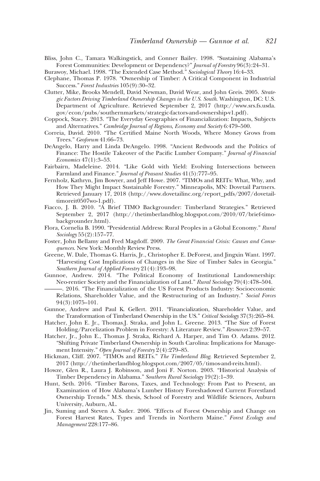Bliss, John C., Tamara Walkingstick, and Conner Bailey. 1998. "Sustaining Alabama's Forest Communities: Development or Dependency?" Journal of Forestry 96(3):24–31.

Burawoy, Michael. 1998. "The Extended Case Method." Sociological Theory 16:4–33.

- Clephane, Thomas P. 1978. "Ownership of Timber: A Critical Component in Industrial Success." Forest Industries 105(9):30–32.
- Clutter, Mike, Brooks Mendell, David Newman, David Wear, and John Greis. 2005. Strategic Factors Driving Timberland Ownership Changes in the U.S. South. Washington, DC: U.S. Department of Agriculture. Retrieved September 2, 2017 [\(http://www.srs.fs.usda.](http://www.srs.fs.usda.gov/econ/pubs/southernmarkets/strategic-factors-and-ownership-v1.pdf) [gov/econ/pubs/southernmarkets/strategic-factors-and-ownership-v1.pdf\)](http://www.srs.fs.usda.gov/econ/pubs/southernmarkets/strategic-factors-and-ownership-v1.pdf).
- Coppock, Stacey. 2013. "The Everyday Geographies of Financialization: Impacts, Subjects and Alternatives." Cambridge Journal of Regions, Economy and Society 6:479–500.
- Correia, David. 2010. "The Certified Maine North Woods, Where Money Grows from Trees." Geoforum 41:66–73.
- DeAngelo, Harry and Linda DeAngelo. 1998. "Ancient Redwoods and the Politics of Finance: The Hostile Takeover of the Pacific Lumber Company." Journal of Financial Economics 47(1):3–53.
- Fairbairn, Madeleine. 2014. "Like Gold with Yield: Evolving Intersections between Farmland and Finance." Journal of Peasant Studies 41(5):777–95.
- Fernholz, Kathryn, Jim Bowyer, and Jeff Howe. 2007. "TIMOs and REITs: What, Why, and How They Might Impact Sustainable Forestry." Minneapolis, MN: Dovetail Partners. Retrieved January 17, 2018 [\(http://www.dovetailinc.org/report\\_pdfs/2007/dovetail](http://www.dovetailinc.org/report_pdfs/2007/dovetailtimoreit0507wo-1.pdf)[timoreit0507wo-1.pdf](http://www.dovetailinc.org/report_pdfs/2007/dovetailtimoreit0507wo-1.pdf)).
- Fiacco, J. B. 2010. "A Brief TIMO Backgrounder: Timberland Strategies." Retrieved September 2, 2017 ([http://thetimberlandblog.blogspot.com/2010/07/brief-timo](http://thetimberlandblog.blogspot.com/2010/07/brief-timo-backgrounder.html)[backgrounder.html\)](http://thetimberlandblog.blogspot.com/2010/07/brief-timo-backgrounder.html).
- Flora, Cornelia B. 1990. "Presidential Address: Rural Peoples in a Global Economy." Rural Sociology 55(2):157–77.
- Foster, John Bellamy and Fred Magdoff. 2009. The Great Financial Crisis: Causes and Consequences. New York: Monthly Review Press.
- Greene, W. Dale, Thomas G. Harris, Jr., Christopher E. DeForest, and Jingxin Want. 1997. "Harvesting Cost Implications of Changes in the Size of Timber Sales in Georgia." Southern Journal of Applied Forestry 21(4):193–98.
- Gunnoe, Andrew. 2014. "The Political Economy of Institutional Landownership: Neo-rentier Society and the Financialization of Land." Rural Sociology 79(4):478–504.
	- ———. 2016. "The Financialization of the US Forest Products Industry: Socioeconomic Relations, Shareholder Value, and the Restructuring of an Industry." Social Forces 94(3):1075–101.
- Gunnoe, Andrew and Paul K. Gellert. 2011. "Financialization, Shareholder Value, and the Transformation of Timberland Ownership in the US." Critical Sociology 37(3):265–84.
- Hatcher, John E. Jr., Thomas.J. Straka, and John L. Greene. 2013. "The Size of Forest Holding/Parcelization Problem in Forestry: A Literature Review." Resources 2:39–57.
- Hatcher, Jr., John E., Thomas J. Straka, Richard A. Harper, and Tim O. Adams. 2012. "Shifting Private Timberland Ownership in South Carolina: Implications for Management Intensity." Open Journal of Forestry 2(4):279-85.
- Hickman, Cliff. 2007. "TIMOs and REITs." The Timberland Blog. Retrieved September 2, 2017 [\(http://thetimberlandblog.blogspot.com/2007/05/timos-and-reits.html](http://thetimberlandblog.blogspot.com/2007/05/timos-and-reits.html)).
- Howze, Glen R., Laura J. Robinson, and Joni F. Norton. 2003. "Historical Analysis of Timber Dependency in Alabama." Southern Rural Sociology 19(2):1–39.
- Hunt, Seth. 2016. "Timber Barons, Taxes, and Technology: From Past to Present, an Examination of How Alabama's Lumber History Foreshadowed Current Forestland Ownership Trends." M.S. thesis, School of Forestry and Wildlife Sciences, Auburn University, Auburn, AL.
- Jin, Suming and Steven A. Sader. 2006. "Effects of Forest Ownership and Change on Forest Harvest Rates, Types and Trends in Northern Maine." Forest Ecology and Management 228:177–86.